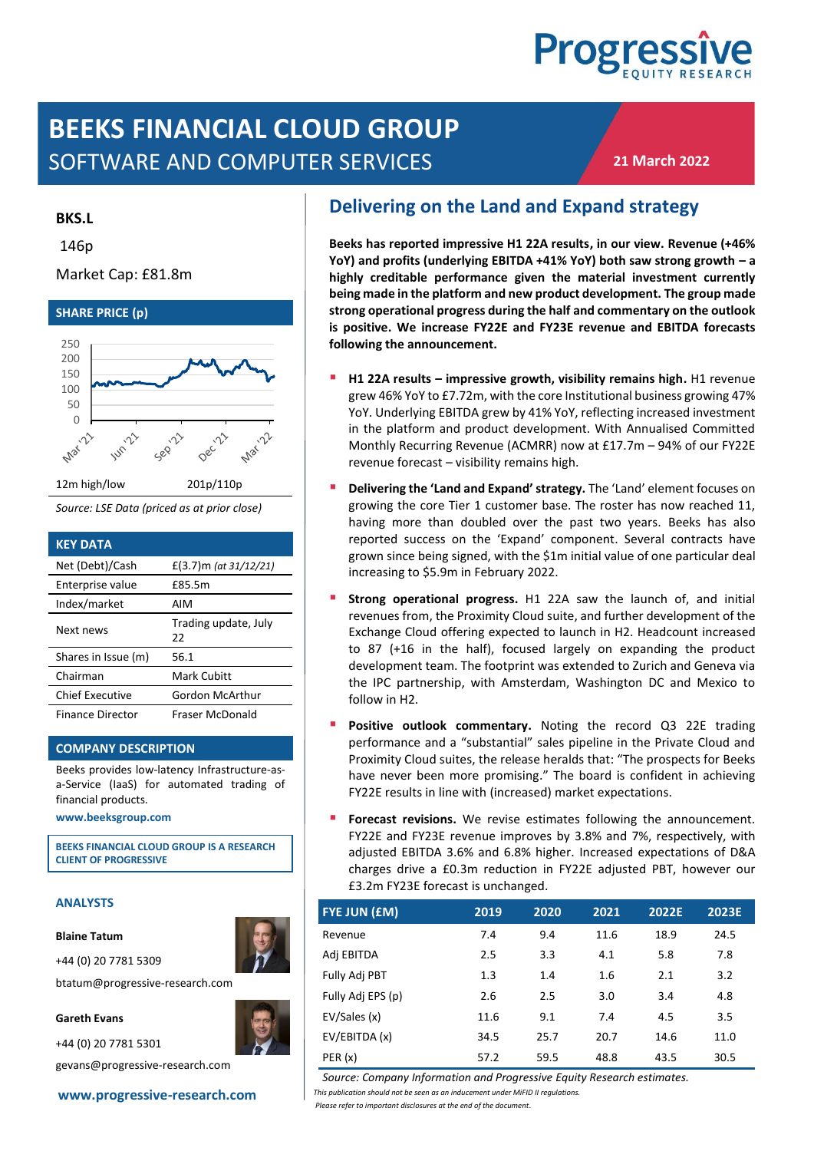# **Progress**

## **BEEKS FINANCIAL CLOUD GROUP** SOFTWARE AND COMPUTER SERVICES

**21 March 2022**

#### **BKS.L**

146p

#### Market Cap: £81.8m



*Source: LSE Data (priced as at prior close)*

| <b>KEY DATA</b>         |                            |
|-------------------------|----------------------------|
| Net (Debt)/Cash         | £(3.7) m (at $31/12/21$ )  |
| Enterprise value        | £85.5m                     |
| Index/market            | AIM                        |
| Next news               | Trading update, July<br>22 |
| Shares in Issue (m)     | 56.1                       |
| Chairman                | Mark Cubitt                |
| <b>Chief Executive</b>  | Gordon McArthur            |
| <b>Finance Director</b> | Fraser McDonald            |

#### **COMPANY DESCRIPTION**

Beeks provides low-latency Infrastructure-asa-Service (IaaS) for automated trading of financial products.

**[www.beeksgroup.com](http://www.beeksgroup.com/)**

**BEEKS FINANCIAL CLOUD GROUP IS A RESEARCH CLIENT OF PROGRESSIVE**

#### **ANALYSTS**

**Blaine Tatum**

+44 (0) 20 7781 5309

btatum@progressive-research.com

#### **Gareth Evans**

+44 (0) 20 7781 5301

gevans@progressive-research.com

## **Delivering on the Land and Expand strategy**

**Beeks has reported impressive H1 22A results, in our view. Revenue (+46% YoY) and profits (underlying EBITDA +41% YoY) both saw strong growth – a highly creditable performance given the material investment currently being made in the platform and new product development. The group made strong operational progress during the half and commentary on the outlook is positive. We increase FY22E and FY23E revenue and EBITDA forecasts following the announcement.** 

- **H1 22A results impressive growth, visibility remains high.** H1 revenue grew 46% YoY to £7.72m, with the core Institutional business growing 47% YoY. Underlying EBITDA grew by 41% YoY, reflecting increased investment in the platform and product development. With Annualised Committed Monthly Recurring Revenue (ACMRR) now at £17.7m – 94% of our FY22E revenue forecast – visibility remains high.
- **Delivering the 'Land and Expand' strategy.** The 'Land' element focuses on growing the core Tier 1 customer base. The roster has now reached 11, having more than doubled over the past two years. Beeks has also reported success on the 'Expand' component. Several contracts have grown since being signed, with the \$1m initial value of one particular deal increasing to \$5.9m in February 2022.
- Strong operational progress. H1 22A saw the launch of, and initial revenues from, the Proximity Cloud suite, and further development of the Exchange Cloud offering expected to launch in H2. Headcount increased to 87 (+16 in the half), focused largely on expanding the product development team. The footprint was extended to Zurich and Geneva via the IPC partnership, with Amsterdam, Washington DC and Mexico to follow in H2.
- Positive outlook commentary. Noting the record Q3 22E trading performance and a "substantial" sales pipeline in the Private Cloud and Proximity Cloud suites, the release heralds that: "The prospects for Beeks have never been more promising." The board is confident in achieving FY22E results in line with (increased) market expectations.
- Forecast revisions. We revise estimates following the announcement. FY22E and FY23E revenue improves by 3.8% and 7%, respectively, with adjusted EBITDA 3.6% and 6.8% higher. Increased expectations of D&A charges drive a £0.3m reduction in FY22E adjusted PBT, however our £3.2m FY23E forecast is unchanged.

| <b>FYE JUN (£M)</b> | 2019 | 2020 | 2021 | 2022E | 2023E |
|---------------------|------|------|------|-------|-------|
| Revenue             | 7.4  | 9.4  | 11.6 | 18.9  | 24.5  |
| Adj EBITDA          | 2.5  | 3.3  | 4.1  | 5.8   | 7.8   |
| Fully Adj PBT       | 1.3  | 1.4  | 1.6  | 2.1   | 3.2   |
| Fully Adj EPS (p)   | 2.6  | 2.5  | 3.0  | 3.4   | 4.8   |
| EV/Sales (x)        | 11.6 | 9.1  | 7.4  | 4.5   | 3.5   |
| EV/EBITDA (x)       | 34.5 | 25.7 | 20.7 | 14.6  | 11.0  |
| PER(x)              | 57.2 | 59.5 | 48.8 | 43.5  | 30.5  |

*Source: Company Information and Progressive Equity Research estimates.*

**[www.progressive-research.com](http://www.progressive-research.com/)** *This publication should not be seen as an inducement under MiFID II regulations. Please refer to important disclosures at the end of the document*.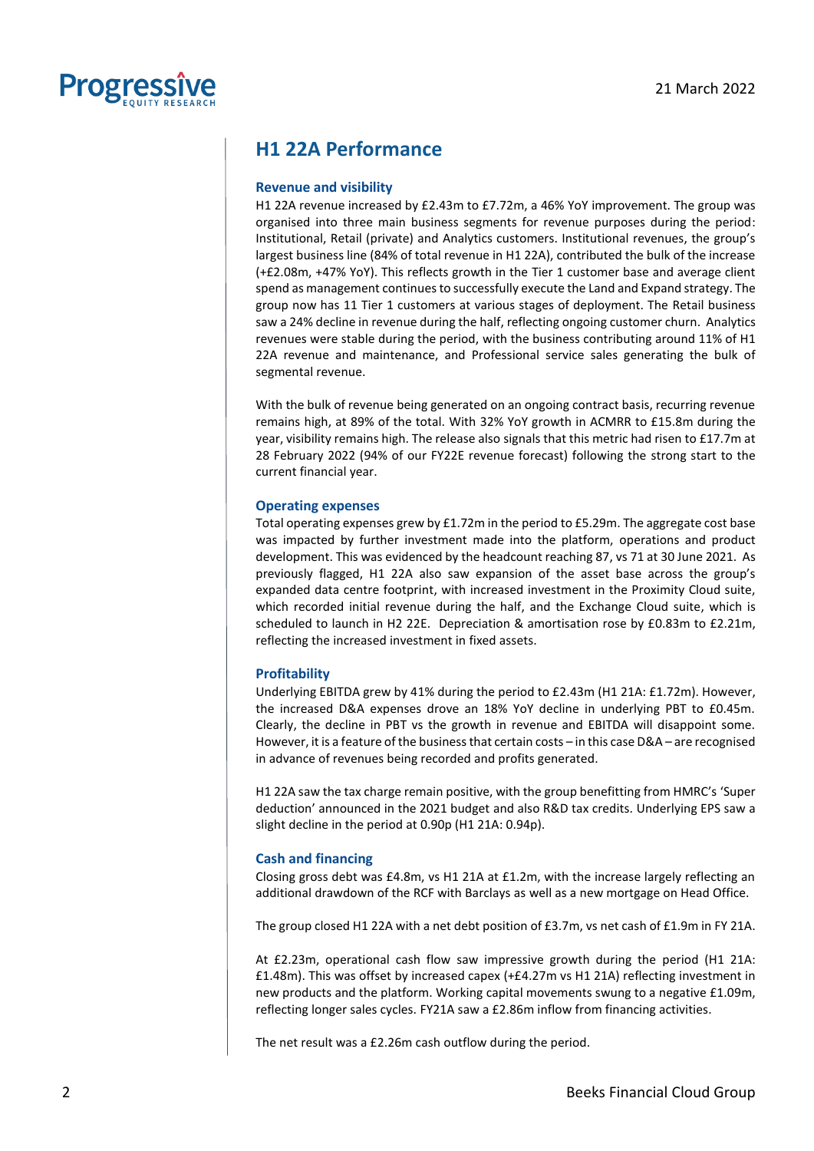

## **H1 22A Performance**

#### **Revenue and visibility**

H1 22A revenue increased by £2.43m to £7.72m, a 46% YoY improvement. The group was organised into three main business segments for revenue purposes during the period: Institutional, Retail (private) and Analytics customers. Institutional revenues, the group's largest business line (84% of total revenue in H1 22A), contributed the bulk of the increase (+£2.08m, +47% YoY). This reflects growth in the Tier 1 customer base and average client spend as management continues to successfully execute the Land and Expand strategy. The group now has 11 Tier 1 customers at various stages of deployment. The Retail business saw a 24% decline in revenue during the half, reflecting ongoing customer churn. Analytics revenues were stable during the period, with the business contributing around 11% of H1 22A revenue and maintenance, and Professional service sales generating the bulk of segmental revenue.

With the bulk of revenue being generated on an ongoing contract basis, recurring revenue remains high, at 89% of the total. With 32% YoY growth in ACMRR to £15.8m during the year, visibility remains high. The release also signals that this metric had risen to £17.7m at 28 February 2022 (94% of our FY22E revenue forecast) following the strong start to the current financial year.

#### **Operating expenses**

Total operating expenses grew by £1.72m in the period to £5.29m. The aggregate cost base was impacted by further investment made into the platform, operations and product development. This was evidenced by the headcount reaching 87, vs 71 at 30 June 2021. As previously flagged, H1 22A also saw expansion of the asset base across the group's expanded data centre footprint, with increased investment in the Proximity Cloud suite, which recorded initial revenue during the half, and the Exchange Cloud suite, which is scheduled to launch in H2 22E. Depreciation & amortisation rose by £0.83m to £2.21m, reflecting the increased investment in fixed assets.

#### **Profitability**

Underlying EBITDA grew by 41% during the period to £2.43m (H1 21A: £1.72m). However, the increased D&A expenses drove an 18% YoY decline in underlying PBT to £0.45m. Clearly, the decline in PBT vs the growth in revenue and EBITDA will disappoint some. However, it is a feature of the business that certain costs – in this case D&A – are recognised in advance of revenues being recorded and profits generated.

H1 22A saw the tax charge remain positive, with the group benefitting from HMRC's 'Super deduction' announced in the 2021 budget and also R&D tax credits. Underlying EPS saw a slight decline in the period at 0.90p (H1 21A: 0.94p).

#### **Cash and financing**

Closing gross debt was £4.8m, vs H1 21A at £1.2m, with the increase largely reflecting an additional drawdown of the RCF with Barclays as well as a new mortgage on Head Office.

The group closed H1 22A with a net debt position of £3.7m, vs net cash of £1.9m in FY 21A.

At £2.23m, operational cash flow saw impressive growth during the period (H1 21A: £1.48m). This was offset by increased capex (+£4.27m vs H1 21A) reflecting investment in new products and the platform. Working capital movements swung to a negative £1.09m, reflecting longer sales cycles. FY21A saw a £2.86m inflow from financing activities.

The net result was a £2.26m cash outflow during the period.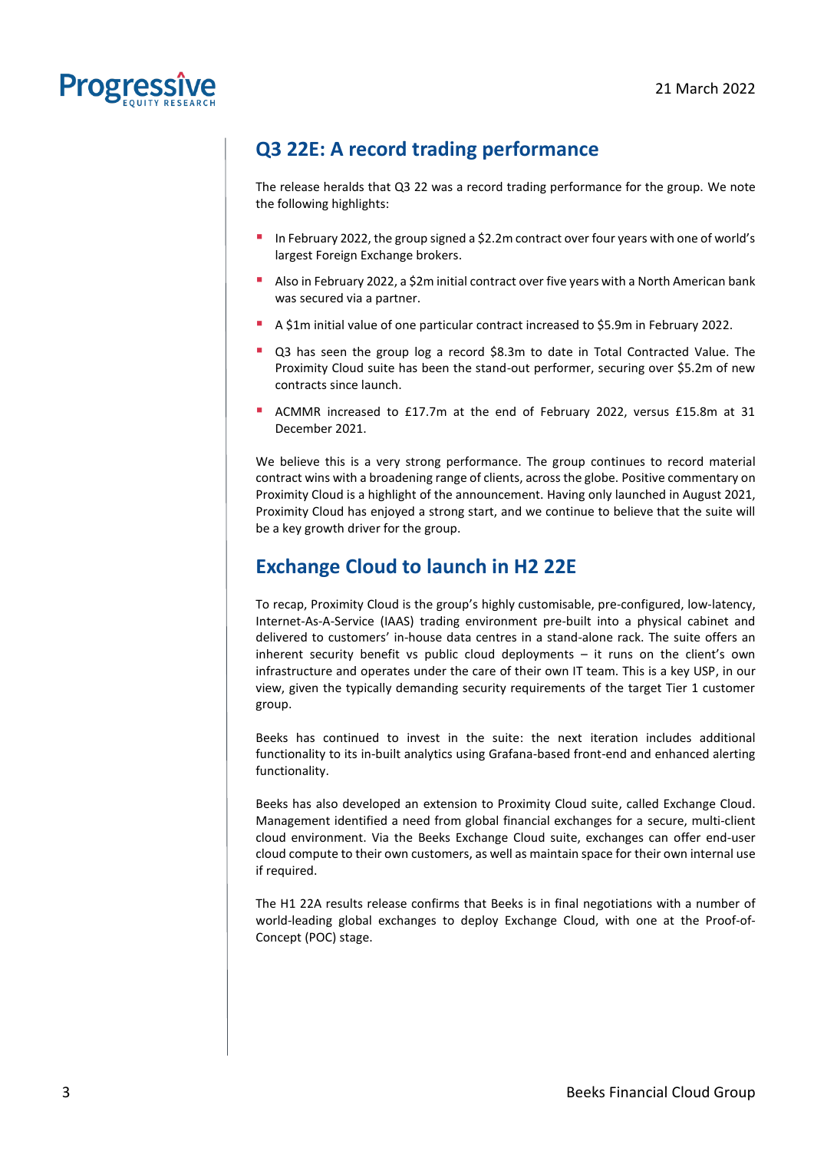

## **Q3 22E: A record trading performance**

The release heralds that Q3 22 was a record trading performance for the group. We note the following highlights:

- In February 2022, the group signed a \$2.2m contract over four years with one of world's largest Foreign Exchange brokers.
- Also in February 2022, a \$2m initial contract over five years with a North American bank was secured via a partner.
- A \$1m initial value of one particular contract increased to \$5.9m in February 2022.
- Q3 has seen the group log a record \$8.3m to date in Total Contracted Value. The Proximity Cloud suite has been the stand-out performer, securing over \$5.2m of new contracts since launch.
- ACMMR increased to £17.7m at the end of February 2022, versus £15.8m at 31 December 2021.

We believe this is a very strong performance. The group continues to record material contract wins with a broadening range of clients, across the globe. Positive commentary on Proximity Cloud is a highlight of the announcement. Having only launched in August 2021, Proximity Cloud has enjoyed a strong start, and we continue to believe that the suite will be a key growth driver for the group.

## **Exchange Cloud to launch in H2 22E**

To recap, Proximity Cloud is the group's highly customisable, pre-configured, low-latency, Internet-As-A-Service (IAAS) trading environment pre-built into a physical cabinet and delivered to customers' in-house data centres in a stand-alone rack. The suite offers an inherent security benefit vs public cloud deployments – it runs on the client's own infrastructure and operates under the care of their own IT team. This is a key USP, in our view, given the typically demanding security requirements of the target Tier 1 customer group.

Beeks has continued to invest in the suite: the next iteration includes additional functionality to its in-built analytics using Grafana-based front-end and enhanced alerting functionality.

Beeks has also developed an extension to Proximity Cloud suite, called Exchange Cloud. Management identified a need from global financial exchanges for a secure, multi-client cloud environment. Via the Beeks Exchange Cloud suite, exchanges can offer end-user cloud compute to their own customers, as well as maintain space for their own internal use if required.

The H1 22A results release confirms that Beeks is in final negotiations with a number of world-leading global exchanges to deploy Exchange Cloud, with one at the Proof-of-Concept (POC) stage.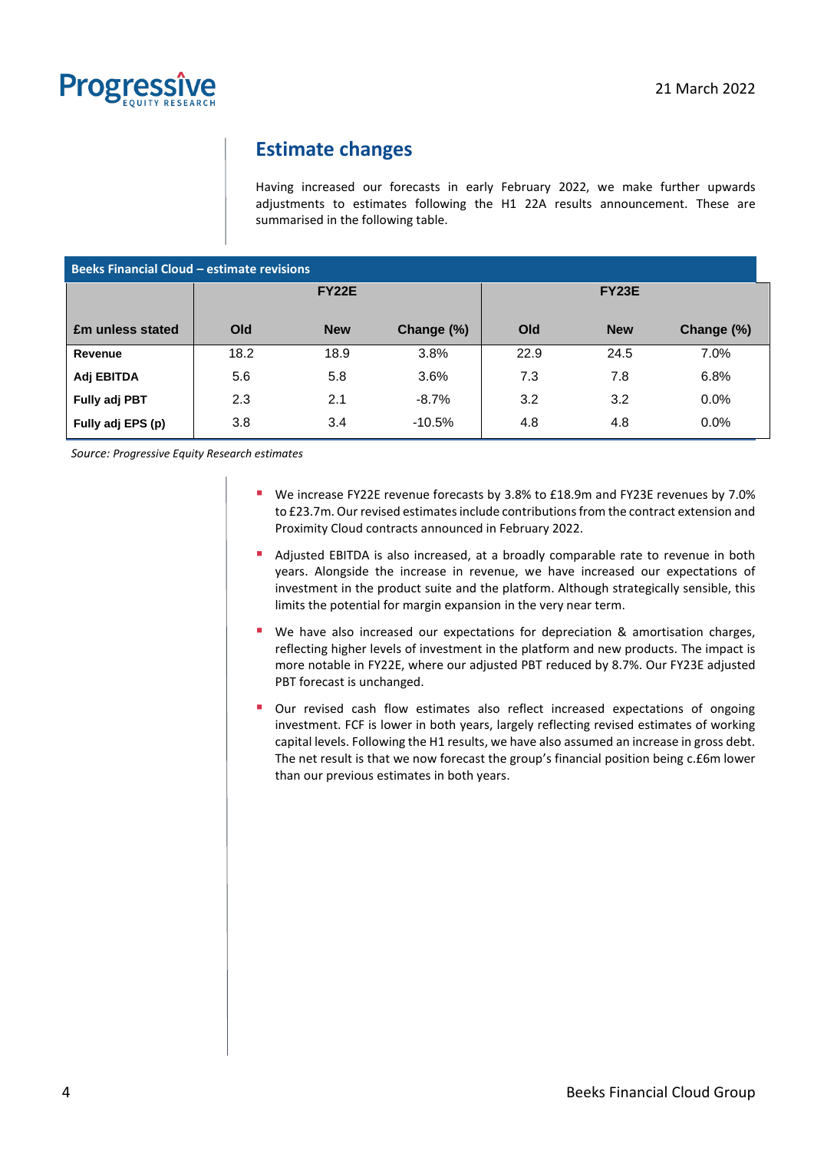

## **Estimate changes**

Having increased our forecasts in early February 2022, we make further upwards adjustments to estimates following the H1 22A results announcement. These are summarised in the following table.

| <b>Beeks Financial Cloud - estimate revisions</b> |              |            |            |              |            |            |
|---------------------------------------------------|--------------|------------|------------|--------------|------------|------------|
|                                                   | <b>FY22E</b> |            |            | <b>FY23E</b> |            |            |
| <b>£m unless stated</b>                           | Old          | <b>New</b> | Change (%) | Old          | <b>New</b> | Change (%) |
| Revenue                                           | 18.2         | 18.9       | 3.8%       | 22.9         | 24.5       | 7.0%       |
| Adj EBITDA                                        | 5.6          | 5.8        | 3.6%       | 7.3          | 7.8        | 6.8%       |
| <b>Fully adj PBT</b>                              | 2.3          | 2.1        | $-8.7%$    | 3.2          | 3.2        | 0.0%       |
| Fully adj EPS (p)                                 | 3.8          | 3.4        | $-10.5%$   | 4.8          | 4.8        | 0.0%       |

*Source: Progressive Equity Research estimates*

- We increase FY22E revenue forecasts by 3.8% to £18.9m and FY23E revenues by 7.0% to £23.7m. Our revised estimates include contributions from the contract extension and Proximity Cloud contracts announced in February 2022.
- Adjusted EBITDA is also increased, at a broadly comparable rate to revenue in both years. Alongside the increase in revenue, we have increased our expectations of investment in the product suite and the platform. Although strategically sensible, this limits the potential for margin expansion in the very near term.
- We have also increased our expectations for depreciation & amortisation charges, reflecting higher levels of investment in the platform and new products. The impact is more notable in FY22E, where our adjusted PBT reduced by 8.7%. Our FY23E adjusted PBT forecast is unchanged.
- **•** Our revised cash flow estimates also reflect increased expectations of ongoing investment. FCF is lower in both years, largely reflecting revised estimates of working capital levels. Following the H1 results, we have also assumed an increase in gross debt. The net result is that we now forecast the group's financial position being c.£6m lower than our previous estimates in both years.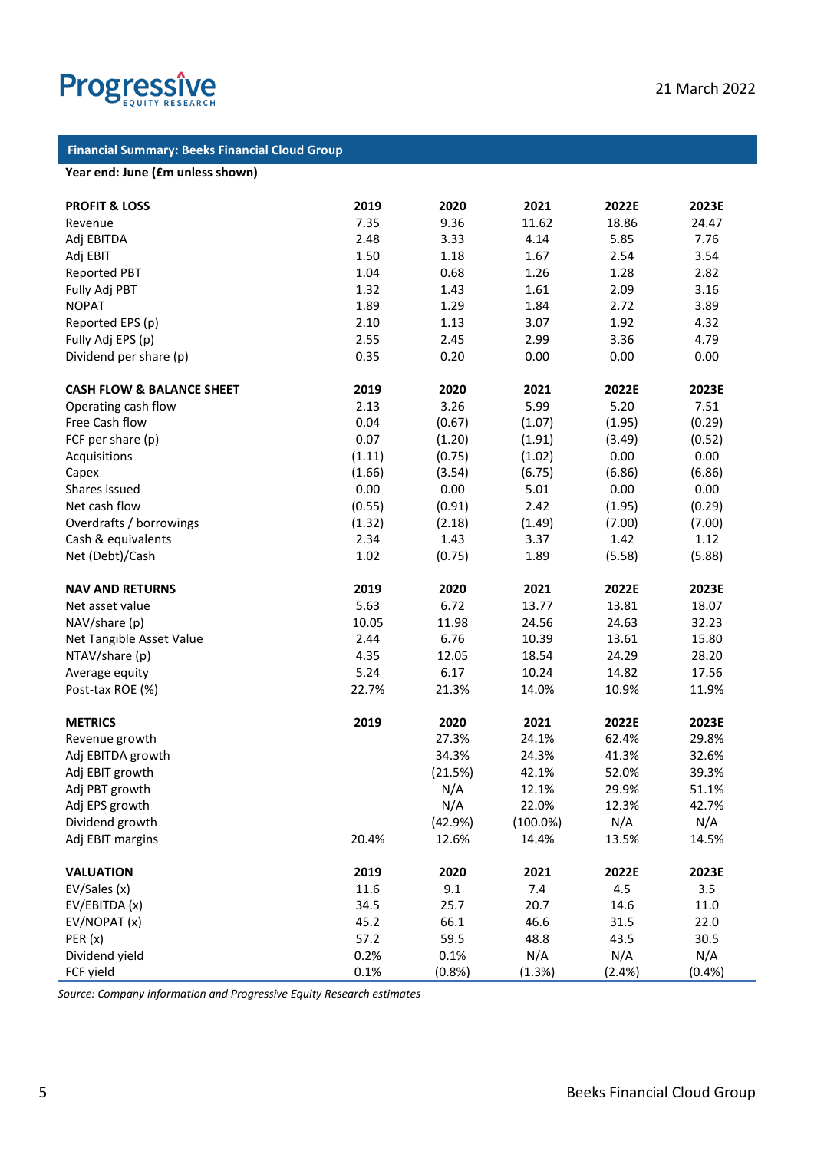

#### **Financial Summary: Beeks Financial Cloud Group**

#### **Year end: June (£m unless shown)**

| <b>PROFIT &amp; LOSS</b>             | 2019   | 2020    | 2021        | 2022E  | 2023E  |
|--------------------------------------|--------|---------|-------------|--------|--------|
| Revenue                              | 7.35   | 9.36    | 11.62       | 18.86  | 24.47  |
| Adj EBITDA                           | 2.48   | 3.33    | 4.14        | 5.85   | 7.76   |
| Adj EBIT                             | 1.50   | 1.18    | 1.67        | 2.54   | 3.54   |
| <b>Reported PBT</b>                  | 1.04   | 0.68    | 1.26        | 1.28   | 2.82   |
| Fully Adj PBT                        | 1.32   | 1.43    | 1.61        | 2.09   | 3.16   |
| <b>NOPAT</b>                         | 1.89   | 1.29    | 1.84        | 2.72   | 3.89   |
| Reported EPS (p)                     | 2.10   | 1.13    | 3.07        | 1.92   | 4.32   |
| Fully Adj EPS (p)                    | 2.55   | 2.45    | 2.99        | 3.36   | 4.79   |
| Dividend per share (p)               | 0.35   | 0.20    | 0.00        | 0.00   | 0.00   |
|                                      |        |         |             |        |        |
| <b>CASH FLOW &amp; BALANCE SHEET</b> | 2019   | 2020    | 2021        | 2022E  | 2023E  |
| Operating cash flow                  | 2.13   | 3.26    | 5.99        | 5.20   | 7.51   |
| Free Cash flow                       | 0.04   | (0.67)  | (1.07)      | (1.95) | (0.29) |
| FCF per share (p)                    | 0.07   | (1.20)  | (1.91)      | (3.49) | (0.52) |
| Acquisitions                         | (1.11) | (0.75)  | (1.02)      | 0.00   | 0.00   |
| Capex                                | (1.66) | (3.54)  | (6.75)      | (6.86) | (6.86) |
| Shares issued                        | 0.00   | 0.00    | 5.01        | 0.00   | 0.00   |
| Net cash flow                        | (0.55) | (0.91)  | 2.42        | (1.95) | (0.29) |
| Overdrafts / borrowings              | (1.32) | (2.18)  | (1.49)      | (7.00) | (7.00) |
| Cash & equivalents                   | 2.34   | 1.43    | 3.37        | 1.42   | 1.12   |
| Net (Debt)/Cash                      | 1.02   | (0.75)  | 1.89        | (5.58) | (5.88) |
|                                      |        |         |             |        |        |
| <b>NAV AND RETURNS</b>               | 2019   | 2020    | 2021        | 2022E  | 2023E  |
| Net asset value                      | 5.63   | 6.72    | 13.77       | 13.81  | 18.07  |
| NAV/share (p)                        | 10.05  | 11.98   | 24.56       | 24.63  | 32.23  |
| Net Tangible Asset Value             | 2.44   | 6.76    | 10.39       | 13.61  | 15.80  |
| NTAV/share (p)                       | 4.35   | 12.05   | 18.54       | 24.29  | 28.20  |
| Average equity                       | 5.24   | 6.17    | 10.24       | 14.82  | 17.56  |
| Post-tax ROE (%)                     | 22.7%  | 21.3%   | 14.0%       | 10.9%  | 11.9%  |
| <b>METRICS</b>                       | 2019   | 2020    | 2021        | 2022E  | 2023E  |
| Revenue growth                       |        | 27.3%   | 24.1%       | 62.4%  | 29.8%  |
| Adj EBITDA growth                    |        | 34.3%   | 24.3%       | 41.3%  | 32.6%  |
| Adj EBIT growth                      |        | (21.5%) | 42.1%       | 52.0%  | 39.3%  |
| Adj PBT growth                       |        | N/A     | 12.1%       | 29.9%  | 51.1%  |
| Adj EPS growth                       |        | N/A     | 22.0%       | 12.3%  | 42.7%  |
| Dividend growth                      |        | (42.9%) | $(100.0\%)$ | N/A    | N/A    |
| Adj EBIT margins                     | 20.4%  | 12.6%   | 14.4%       | 13.5%  | 14.5%  |
| <b>VALUATION</b>                     | 2019   | 2020    | 2021        | 2022E  | 2023E  |
| EV/Sales (x)                         | 11.6   | 9.1     | 7.4         | 4.5    | 3.5    |
| EV/EBITDA (x)                        | 34.5   | 25.7    | 20.7        | 14.6   | 11.0   |
| EV/NOPAT(x)                          | 45.2   | 66.1    | 46.6        | 31.5   | 22.0   |
|                                      | 57.2   | 59.5    | 48.8        | 43.5   |        |
| PER(x)<br>Dividend yield             | 0.2%   | 0.1%    | N/A         | N/A    | 30.5   |
|                                      | 0.1%   |         |             |        | N/A    |
| FCF yield                            |        | (0.8%   | (1.3%)      | (2.4%) | (0.4%  |

*Source: Company information and Progressive Equity Research estimates*